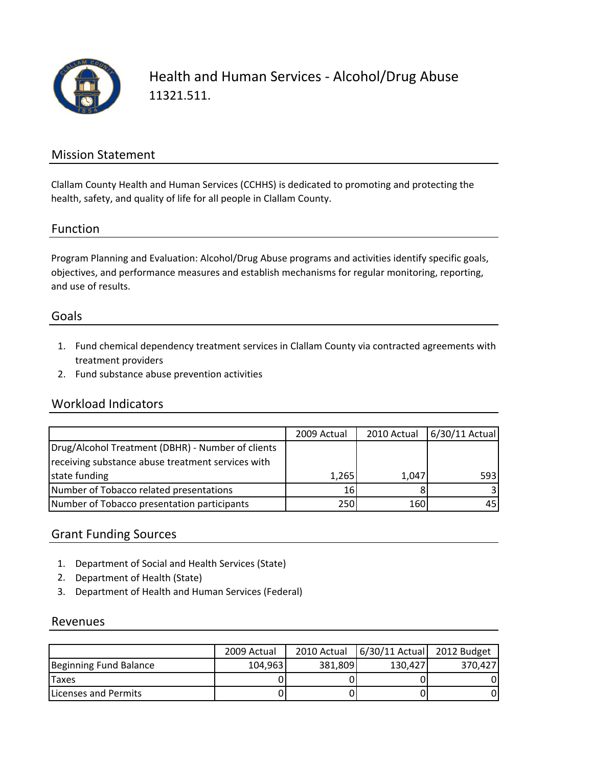

Health and Human Services ‐ Alcohol/Drug Abuse 11321.511.

### Mission Statement

Clallam County Health and Human Services (CCHHS) is dedicated to promoting and protecting the health, safety, and quality of life for all people in Clallam County.

#### Function

Program Planning and Evaluation: Alcohol/Drug Abuse programs and activities identify specific goals, objectives, and performance measures and establish mechanisms for regular monitoring, reporting, and use of results.

### Goals

- 1. Fund chemical dependency treatment services in Clallam County via contracted agreements with treatment providers
- 2. Fund substance abuse prevention activities

### Workload Indicators

|                                                   | 2009 Actual | 2010 Actual | $6/30/11$ Actual |
|---------------------------------------------------|-------------|-------------|------------------|
| Drug/Alcohol Treatment (DBHR) - Number of clients |             |             |                  |
| receiving substance abuse treatment services with |             |             |                  |
| state funding                                     | 1,265       | 1.047       | 593              |
| Number of Tobacco related presentations           | 16          |             |                  |
| Number of Tobacco presentation participants       | 250         | 160         | 45               |

### Grant Funding Sources

- 1. Department of Social and Health Services (State)
- 2. Department of Health (State)
- 3. Department of Health and Human Services (Federal)

#### Revenues

|                              | 2009 Actual | 2010 Actual | 6/30/11 Actual 2012 Budget |         |
|------------------------------|-------------|-------------|----------------------------|---------|
| Beginning Fund Balance       | 104,963     | 381.809     | 130.427                    | 370.427 |
| <b>Taxes</b>                 |             |             |                            |         |
| <b>ILicenses and Permits</b> |             |             |                            |         |